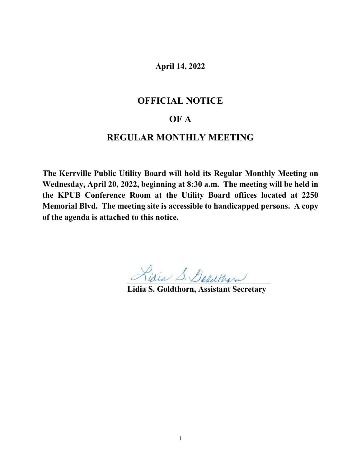# **April 14, 2022**

# **OFFICIAL NOTICE**

# **OF A**

# **REGULAR MONTHLY MEETING**

**The Kerrville Public Utility Board will hold its Regular Monthly Meeting on Wednesday, April 20, 2022, beginning at 8:30 a.m. The meeting will be held in the KPUB Conference Room at the Utility Board offices located at 2250 Memorial Blvd. The meeting site is accessible to handicapped persons. A copy of the agenda is attached to this notice.**

**Lidia S. Goldthorn, Assistant Secretary**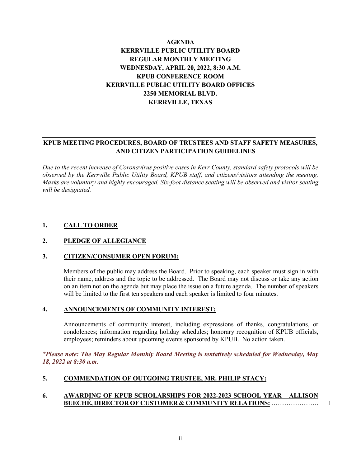## **AGENDA KERRVILLE PUBLIC UTILITY BOARD REGULAR MONTHLY MEETING WEDNESDAY, APRIL 20, 2022, 8:30 A.M. KPUB CONFERENCE ROOM KERRVILLE PUBLIC UTILITY BOARD OFFICES 2250 MEMORIAL BLVD. KERRVILLE, TEXAS**

### **KPUB MEETING PROCEDURES, BOARD OF TRUSTEES AND STAFF SAFETY MEASURES, AND CITIZEN PARTICIPATION GUIDELINES**

*Due to the recent increase of Coronavirus positive cases in Kerr County, standard safety protocols will be observed by the Kerrville Public Utility Board, KPUB staff, and citizens/visitors attending the meeting. Masks are voluntary and highly encouraged. Six-foot distance seating will be observed and visitor seating will be designated.*

### **1. CALL TO ORDER**

#### **2. PLEDGE OF ALLEGIANCE**

#### **3. CITIZEN/CONSUMER OPEN FORUM:**

Members of the public may address the Board. Prior to speaking, each speaker must sign in with their name, address and the topic to be addressed. The Board may not discuss or take any action on an item not on the agenda but may place the issue on a future agenda. The number of speakers will be limited to the first ten speakers and each speaker is limited to four minutes.

#### **4. ANNOUNCEMENTS OF COMMUNITY INTEREST:**

Announcements of community interest, including expressions of thanks, congratulations, or condolences; information regarding holiday schedules; honorary recognition of KPUB officials, employees; reminders about upcoming events sponsored by KPUB. No action taken.

*\*Please note: The May Regular Monthly Board Meeting is tentatively scheduled for Wednesday, May 18, 2022 at 8:30 a.m.*

### **5. COMMENDATION OF OUTGOING TRUSTEE, MR. PHILIP STACY:**

#### **6. AWARDING OF KPUB SCHOLARSHIPS FOR 2022-2023 SCHOOL YEAR – ALLISON BUECHÉ, DIRECTOR OF CUSTOMER & COMMUNITY RELATIONS:** …………………. 1